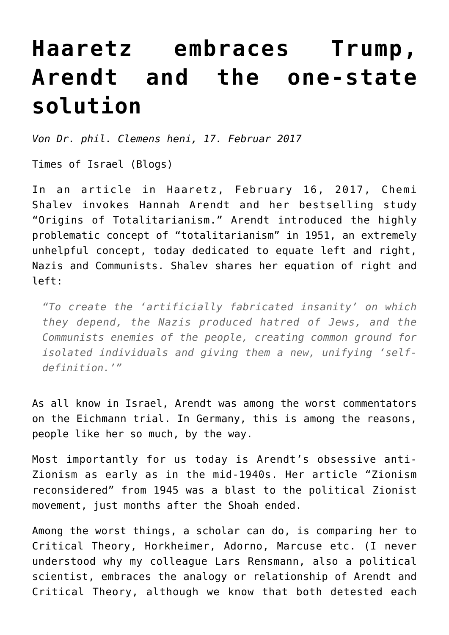## **[Haaretz embraces Trump,](https://www.clemensheni.net/haaretz-embraces-trump-arendt-and-the-one-state-solution/) [Arendt and the one-state](https://www.clemensheni.net/haaretz-embraces-trump-arendt-and-the-one-state-solution/) [solution](https://www.clemensheni.net/haaretz-embraces-trump-arendt-and-the-one-state-solution/)**

*Von Dr. phil. Clemens heni, 17. Februar 2017*

[Times of Israel \(Blogs\)](http://blogs.timesofisrael.com/haaretz-embraces-trump-arendt-and-the-one-state-solution/)

In an article in Haaretz, February 16, 2017, [Chemi](http://www.haaretz.com/israel-news/.premium-1.772290) [Shalev](http://www.haaretz.com/israel-news/.premium-1.772290) invokes Hannah Arendt and her bestselling study "Origins of Totalitarianism." Arendt introduced the highly problematic concept of "totalitarianism" in 1951, an extremely unhelpful concept, today dedicated to equate left and right, Nazis and Communists. Shalev shares her equation of right and left:

*"To create the 'artificially fabricated insanity' on which they depend, the Nazis produced hatred of Jews, and the Communists enemies of the people, creating common ground for isolated individuals and giving them a new, unifying 'selfdefinition.'"*

As all know in Israel, Arendt was among the worst commentators on the Eichmann trial. In Germany, this is among the reasons, people like her so much, by the way.

Most importantly for us today is Arendt's obsessive anti-Zionism as early as in the mid-1940s. Her article "Zionism reconsidered" from 1945 was a blast to the political Zionist movement, just months after the Shoah ended.

Among the worst things, a scholar can do, is comparing her to Critical Theory, Horkheimer, Adorno, Marcuse etc. (I never understood why my colleague Lars Rensmann, also a political scientist, embraces the [analogy or relationship of Arendt and](https://www.facebook.com/notes/graduiertenschule-3go/call-arendt-and-critical-theory-today-2nd-istanbul-critical-theory-conference/409443502722118) [Critical Theory](https://www.facebook.com/notes/graduiertenschule-3go/call-arendt-and-critical-theory-today-2nd-istanbul-critical-theory-conference/409443502722118), although we know that both detested each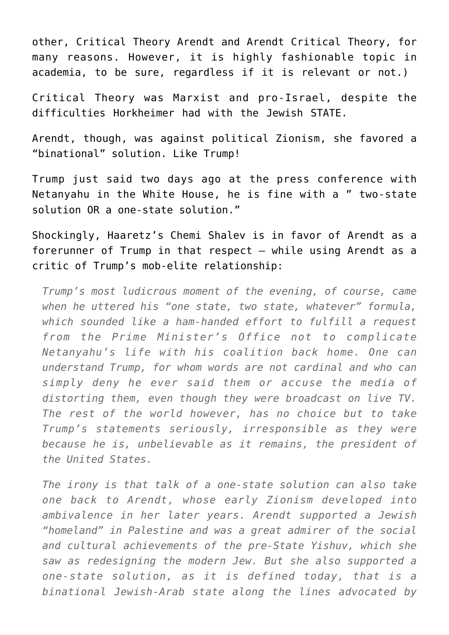other, Critical Theory Arendt and Arendt Critical Theory, for many reasons. However, it is highly fashionable topic in academia, to be sure, regardless if it is relevant or not.)

Critical Theory was Marxist and pro-Israel, despite the difficulties Horkheimer had with the Jewish STATE.

Arendt, though, was against political Zionism, she favored a "binational" solution. Like Trump!

Trump just said two days ago at the press conference with Netanyahu in the White House, he is fine with a " two-state solution OR a one-state solution."

Shockingly, Haaretz's Chemi Shalev is in favor of Arendt as a forerunner of Trump in that respect — while using Arendt as a critic of Trump's mob-elite relationship:

*Trump's most ludicrous moment of the evening, of course, came when he uttered his "one state, two state, whatever" formula, which sounded like a ham-handed effort to fulfill a request from the Prime Minister's Office not to complicate Netanyahu's life with his coalition back home. One can understand Trump, for whom words are not cardinal and who can simply deny he ever said them or accuse the media of distorting them, even though they were broadcast on live TV. The rest of the world however, has no choice but to take Trump's statements seriously, irresponsible as they were because he is, unbelievable as it remains, the president of the United States.*

*The irony is that talk of a one-state solution can also take one back to Arendt, whose early Zionism developed into ambivalence in her later years. Arendt supported a Jewish "homeland" in Palestine and was a great admirer of the social and cultural achievements of the pre-State Yishuv, which she saw as redesigning the modern Jew. But she also supported a one-state solution, as it is defined today, that is a binational Jewish-Arab state along the lines advocated by*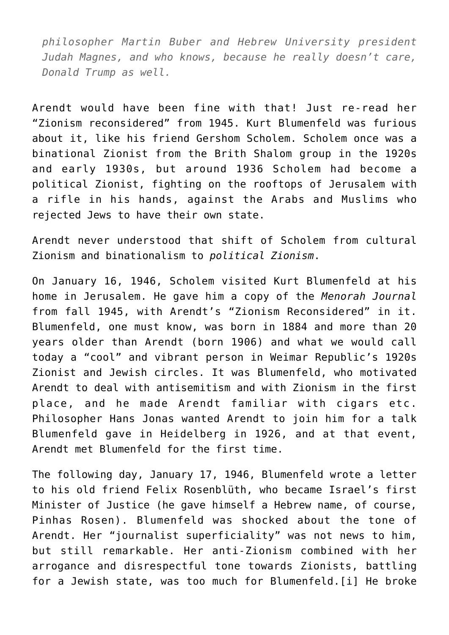*philosopher Martin Buber and Hebrew University president Judah Magnes, and who knows, because he really doesn't care, Donald Trump as well.*

Arendt would have been fine with that! Just re-read her "Zionism reconsidered" from 1945. Kurt Blumenfeld was furious about it, like his friend Gershom Scholem. Scholem once was a binational Zionist from the Brith Shalom group in the 1920s and early 1930s, but around 1936 Scholem had become a political Zionist, fighting on the rooftops of Jerusalem with a rifle in his hands, against the Arabs and Muslims who rejected Jews to have their own state.

Arendt never understood that shift of Scholem from cultural Zionism and binationalism to *political Zionism*.

On January 16, 1946, Scholem visited Kurt Blumenfeld at his home in Jerusalem. He gave him a copy of the *Menorah Journal* from fall 1945, with Arendt's "Zionism Reconsidered" in it. Blumenfeld, one must know, was born in 1884 and more than 20 years older than Arendt (born 1906) and what we would call today a "cool" and vibrant person in Weimar Republic's 1920s Zionist and Jewish circles. It was Blumenfeld, who motivated Arendt to deal with antisemitism and with Zionism in the first place, and he made Arendt familiar with cigars etc. Philosopher Hans Jonas wanted Arendt to join him for a talk Blumenfeld gave in Heidelberg in 1926, and at that event, Arendt met Blumenfeld for the first time.

The following day, January 17, 1946, Blumenfeld wrote a letter to his old friend Felix Rosenblüth, who became Israel's first Minister of Justice (he gave himself a Hebrew name, of course, Pinhas Rosen). Blumenfeld was shocked about the tone of Arendt. Her "journalist superficiality" was not news to him, but still remarkable. Her anti-Zionism combined with her arrogance and disrespectful tone towards Zionists, battling for a Jewish state, was too much for Blumenfeld.[\[i\]](http://blogs.timesofisrael.com/haaretz-embraces-trump-arendt-and-the-one-state-solution/#_edn1) He broke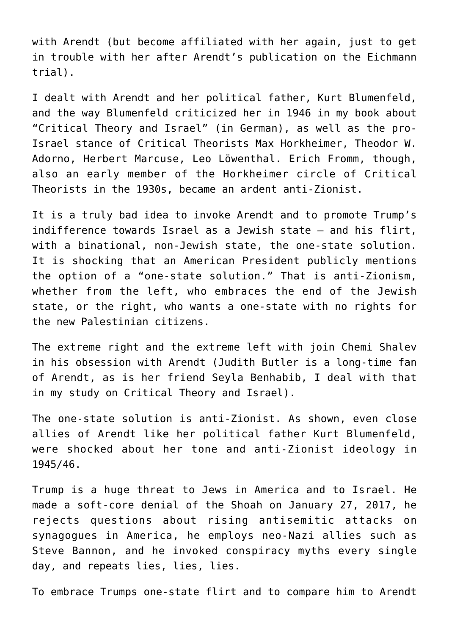with Arendt (but become affiliated with her again, just to get in trouble with her after Arendt's publication on the Eichmann trial).

I dealt with Arendt and her political father, Kurt Blumenfeld, and the way Blumenfeld criticized her in 1946 in my book about "[Critical Theory and Israel"](http://www.editioncritic.de/allgemein/neuerscheinung-24-april-2014-kritische-theorie-und-israel/) (in German), as well as the pro-Israel stance of Critical Theorists Max Horkheimer, Theodor W. Adorno, Herbert Marcuse, Leo Löwenthal. Erich Fromm, though, also an early member of the Horkheimer circle of Critical Theorists in the 1930s, became an ardent anti-Zionist.

It is a truly bad idea to invoke Arendt and to promote Trump's indifference towards Israel as a Jewish state – and his flirt, with a binational, non-Jewish state, the one-state solution. It is shocking that an American President publicly mentions the option of a "one-state solution." That is anti-Zionism, whether from the left, who embraces the end of the Jewish state, or the right, who wants a one-state with no rights for the new Palestinian citizens.

The extreme right and the extreme left with join Chemi Shalev in his obsession with Arendt (Judith Butler is a long-time fan of Arendt, as is her friend Seyla Benhabib, I deal with that in my study on Critical Theory and Israel).

The one-state solution is anti-Zionist. As shown, even close allies of Arendt like her political father Kurt Blumenfeld, were shocked about her tone and anti-Zionist ideology in 1945/46.

Trump is a huge threat to Jews in America and to Israel. He made a soft-core denial of the Shoah on January 27, 2017, he rejects questions about rising antisemitic attacks on synagogues in America, he employs neo-Nazi allies such as Steve Bannon, and he invoked conspiracy myths every single day, and repeats lies, lies, lies.

To embrace Trumps one-state flirt and to compare him to Arendt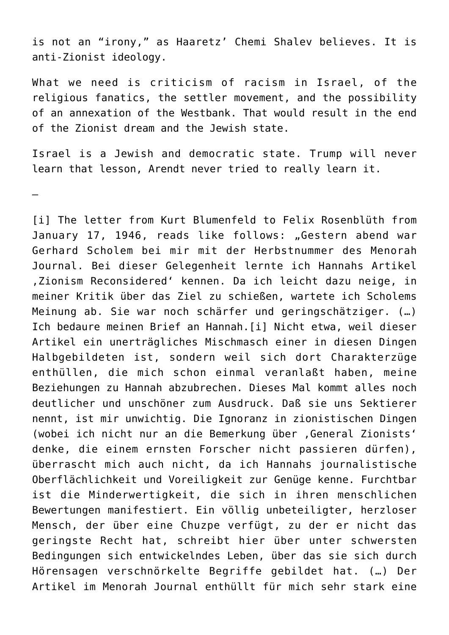is not an "irony," as Haaretz' Chemi Shalev believes. It is anti-Zionist ideology.

What we need is criticism of racism in Israel, of the religious fanatics, the settler movement, and the possibility of an annexation of the Westbank. That would result in the end of the Zionist dream and the Jewish state.

Israel is a Jewish and democratic state. Trump will never learn that lesson, Arendt never tried to really learn it.

—

[\[i\]](http://blogs.timesofisrael.com/haaretz-embraces-trump-arendt-and-the-one-state-solution/#_ednref1) The letter from Kurt Blumenfeld to Felix Rosenblüth from January 17, 1946, reads like follows: "Gestern abend war Gerhard Scholem bei mir mit der Herbstnummer des Menorah Journal. Bei dieser Gelegenheit lernte ich Hannahs Artikel .Zionism Reconsidered' kennen. Da ich leicht dazu neige, in meiner Kritik über das Ziel zu schießen, wartete ich Scholems Meinung ab. Sie war noch schärfer und geringschätziger. (…) Ich bedaure meinen Brief an Hannah.[i] Nicht etwa, weil dieser Artikel ein unerträgliches Mischmasch einer in diesen Dingen Halbgebildeten ist, sondern weil sich dort Charakterzüge enthüllen, die mich schon einmal veranlaßt haben, meine Beziehungen zu Hannah abzubrechen. Dieses Mal kommt alles noch deutlicher und unschöner zum Ausdruck. Daß sie uns Sektierer nennt, ist mir unwichtig. Die Ignoranz in zionistischen Dingen (wobei ich nicht nur an die Bemerkung über , General Zionists' denke, die einem ernsten Forscher nicht passieren dürfen), überrascht mich auch nicht, da ich Hannahs journalistische Oberflächlichkeit und Voreiligkeit zur Genüge kenne. Furchtbar ist die Minderwertigkeit, die sich in ihren menschlichen Bewertungen manifestiert. Ein völlig unbeteiligter, herzloser Mensch, der über eine Chuzpe verfügt, zu der er nicht das geringste Recht hat, schreibt hier über unter schwersten Bedingungen sich entwickelndes Leben, über das sie sich durch Hörensagen verschnörkelte Begriffe gebildet hat. (…) Der Artikel im Menorah Journal enthüllt für mich sehr stark eine